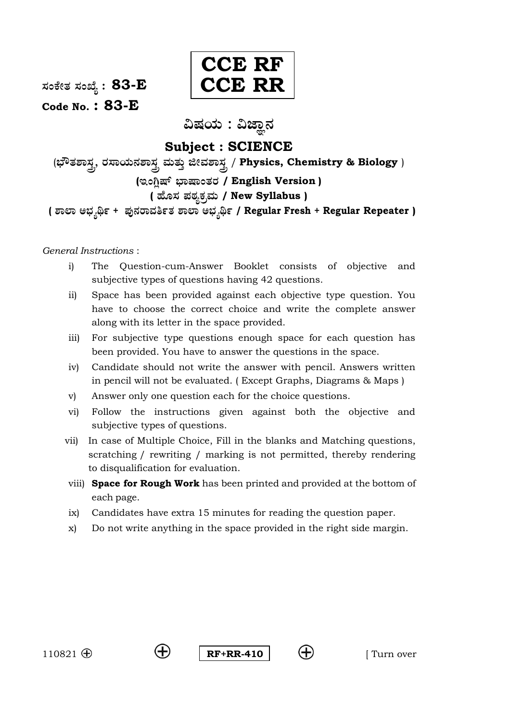**: 83-E**



**Code No. : 83-E**

ವಿಷಯ : ವಿಜ್ಞಾನ

# **Subject : SCIENCE**

(ಭೌತಶಾಸ್ತ್ರ, ರಸಾಯನಶಾಸ್ತ್ರ ಮತ್ತು ಜೀವಶಾ<u>ಸ್ತ್ರ</u> / Physics, Chemistry & Biology ) **( / English Version ) ( / New Syllabus ) ( + / Regular Fresh + Regular Repeater )**

*General Instructions* :

- i) The Question-cum-Answer Booklet consists of objective and subjective types of questions having 42 questions.
- ii) Space has been provided against each objective type question. You have to choose the correct choice and write the complete answer along with its letter in the space provided.
- iii) For subjective type questions enough space for each question has been provided. You have to answer the questions in the space.
- iv) Candidate should not write the answer with pencil. Answers written in pencil will not be evaluated. ( Except Graphs, Diagrams & Maps )
- v) Answer only one question each for the choice questions.
- vi) Follow the instructions given against both the objective and subjective types of questions.
- vii) In case of Multiple Choice, Fill in the blanks and Matching questions, scratching / rewriting / marking is not permitted, thereby rendering to disqualification for evaluation.
- viii) **Space for Rough Work** has been printed and provided at the bottom of each page.
- ix) Candidates have extra 15 minutes for reading the question paper.
- x) Do not write anything in the space provided in the right side margin.

110821  $\oplus$   $\oplus$  **RF+RR-410**  $\oplus$  **(+)** [ Turn over

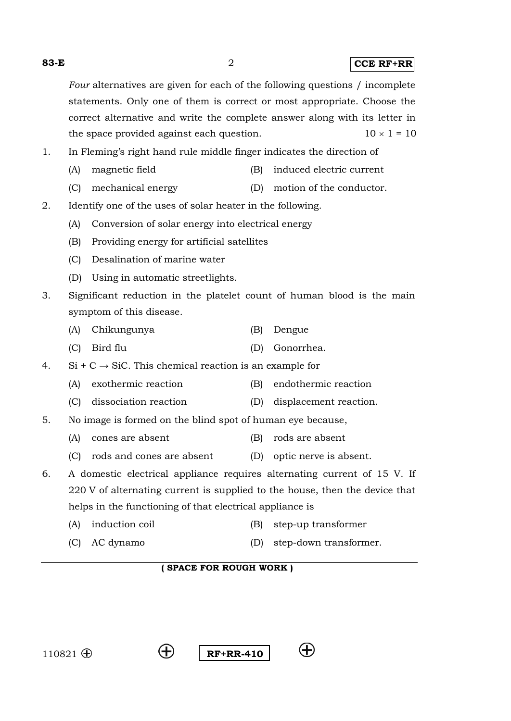**83-E** 2 **CCE RF+RR** *Four* alternatives are given for each of the following questions / incomplete statements. Only one of them is correct or most appropriate. Choose the correct alternative and write the complete answer along with its letter in the space provided against each question.  $10 \times 1 = 10$ 1. In Fleming's right hand rule middle finger indicates the direction of (A) magnetic field (B) induced electric current (C) mechanical energy (D) motion of the conductor. 2. Identify one of the uses of solar heater in the following. (A) Conversion of solar energy into electrical energy (B) Providing energy for artificial satellites (C) Desalination of marine water (D) Using in automatic streetlights. 3. Significant reduction in the platelet count of human blood is the main symptom of this disease. (A) Chikungunya (B) Dengue (C) Bird flu (D) Gonorrhea. 4. Si + C  $\rightarrow$  SiC. This chemical reaction is an example for (A) exothermic reaction (B) endothermic reaction (C) dissociation reaction (D) displacement reaction. 5. No image is formed on the blind spot of human eye because, (A) cones are absent (B) rods are absent (C) rods and cones are absent (D) optic nerve is absent. 6. A domestic electrical appliance requires alternating current of 15 V. If 220 V of alternating current is supplied to the house, then the device that helps in the functioning of that electrical appliance is

- (A) induction coil (B) step-up transformer
- (C) AC dynamo (D) step-down transformer.

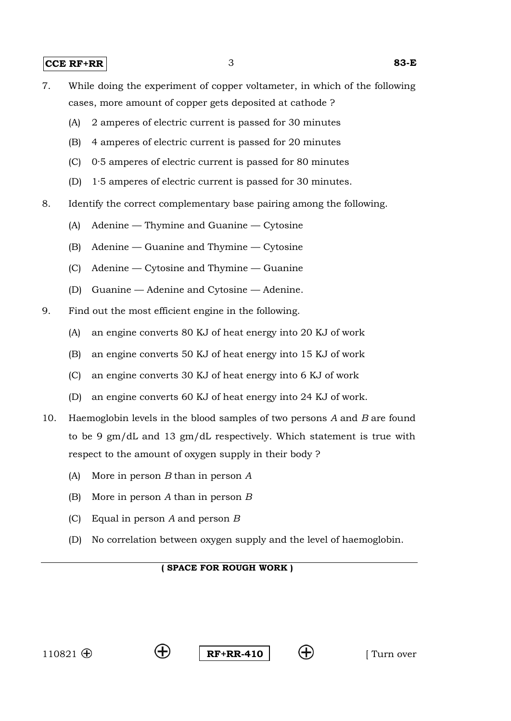- 7. While doing the experiment of copper voltameter, in which of the following cases, more amount of copper gets deposited at cathode ?
	- (A) 2 amperes of electric current is passed for 30 minutes
	- (B) 4 amperes of electric current is passed for 20 minutes
	- (C) 0·5 amperes of electric current is passed for 80 minutes
	- (D) 1·5 amperes of electric current is passed for 30 minutes.
- 8. Identify the correct complementary base pairing among the following.
	- (A) Adenine Thymine and Guanine Cytosine
	- (B) Adenine Guanine and Thymine Cytosine
	- (C) Adenine Cytosine and Thymine Guanine
	- (D) Guanine Adenine and Cytosine Adenine.
- 9. Find out the most efficient engine in the following.
	- (A) an engine converts 80 KJ of heat energy into 20 KJ of work
	- (B) an engine converts 50 KJ of heat energy into 15 KJ of work
	- (C) an engine converts 30 KJ of heat energy into 6 KJ of work
	- (D) an engine converts 60 KJ of heat energy into 24 KJ of work.
- 10. Haemoglobin levels in the blood samples of two persons *A* and *B* are found to be 9 gm/dL and 13 gm/dL respectively. Which statement is true with respect to the amount of oxygen supply in their body ?
	- (A) More in person *B* than in person *A*
	- (B) More in person *A* than in person *B*
	- (C) Equal in person *A* and person *B*
	- (D) No correlation between oxygen supply and the level of haemoglobin.



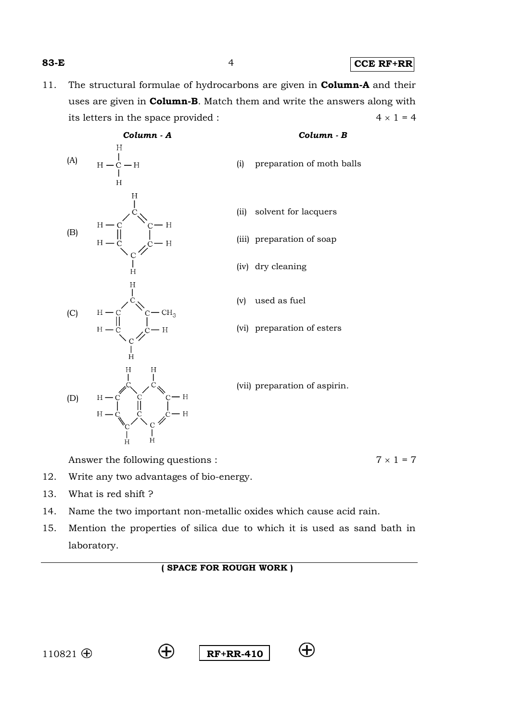**83-E** 4 **CCE RF+RR**

11. The structural formulae of hydrocarbons are given in **Column-A** and their uses are given in **Column-B**. Match them and write the answers along with its letters in the space provided :  $4 \times 1 = 4$ 



- 12. Write any two advantages of bio-energy.
- 13. What is red shift ?
- 14. Name the two important non-metallic oxides which cause acid rain.
- 15. Mention the properties of silica due to which it is used as sand bath in laboratory.

# **( SPACE FOR ROUGH WORK )**





 $\left( +\right)$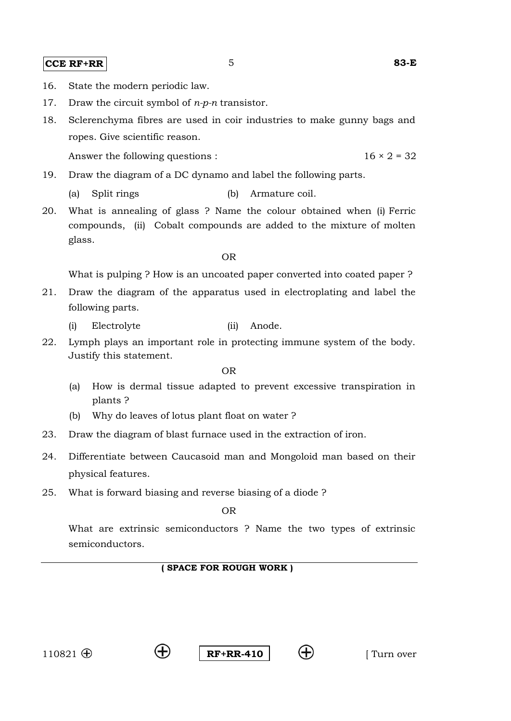#### **CCE RF+RR 5** 83-E

- 
- 16. State the modern periodic law.
- 17. Draw the circuit symbol of *n-p-n* transistor.
- 18. Sclerenchyma fibres are used in coir industries to make gunny bags and ropes. Give scientific reason.

Answer the following questions :  $16 \times 2 = 32$ 

- 19. Draw the diagram of a DC dynamo and label the following parts.
	- (a) Split rings (b) Armature coil.
- 20. What is annealing of glass ? Name the colour obtained when (i) Ferric compounds, (ii) Cobalt compounds are added to the mixture of molten glass.

OR

What is pulping ? How is an uncoated paper converted into coated paper ?

- 21. Draw the diagram of the apparatus used in electroplating and label the following parts.
	- (i) Electrolyte (ii) Anode.
- 22. Lymph plays an important role in protecting immune system of the body. Justify this statement.

OR

- (a) How is dermal tissue adapted to prevent excessive transpiration in plants ?
- (b) Why do leaves of lotus plant float on water ?
- 23. Draw the diagram of blast furnace used in the extraction of iron.
- 24. Differentiate between Caucasoid man and Mongoloid man based on their physical features.
- 25. What is forward biasing and reverse biasing of a diode ?

OR

What are extrinsic semiconductors ? Name the two types of extrinsic semiconductors.



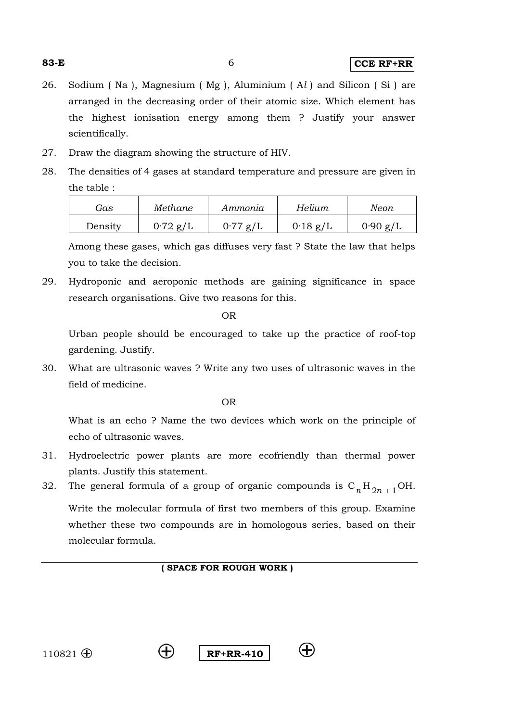26. Sodium ( Na ), Magnesium ( Mg ), Aluminium ( A*l* ) and Silicon ( Si ) are arranged in the decreasing order of their atomic size. Which element has the highest ionisation energy among them ? Justify your answer scientifically.

- 27. Draw the diagram showing the structure of HIV.
- 28. The densities of 4 gases at standard temperature and pressure are given in the table :

| Gas     | Methane    | Ammonia    | Helium     | Neon       |
|---------|------------|------------|------------|------------|
| Density | $0.72$ g/L | $0.77$ g/L | $0.18$ g/L | $0.90$ g/L |

Among these gases, which gas diffuses very fast ? State the law that helps you to take the decision.

29. Hydroponic and aeroponic methods are gaining significance in space research organisations. Give two reasons for this.

OR

Urban people should be encouraged to take up the practice of roof-top gardening. Justify.

30. What are ultrasonic waves ? Write any two uses of ultrasonic waves in the field of medicine.

OR

What is an echo ? Name the two devices which work on the principle of echo of ultrasonic waves.

- 31. Hydroelectric power plants are more ecofriendly than thermal power plants. Justify this statement.
- 32. The general formula of a group of organic compounds is  $C_nH_{2n+1}OH$ .

Write the molecular formula of first two members of this group. Examine whether these two compounds are in homologous series, based on their molecular formula.





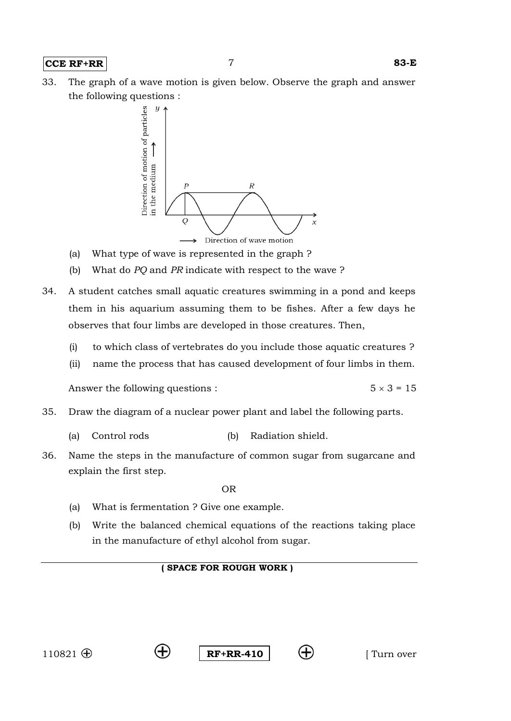#### **CCE RF+RR** 7 **83-E**

33. The graph of a wave motion is given below. Observe the graph and answer the following questions :



- (a) What type of wave is represented in the graph ?
- (b) What do *PQ* and *PR* indicate with respect to the wave ?
- 34. A student catches small aquatic creatures swimming in a pond and keeps them in his aquarium assuming them to be fishes. After a few days he observes that four limbs are developed in those creatures. Then,
	- (i) to which class of vertebrates do you include those aquatic creatures ?
	- (ii) name the process that has caused development of four limbs in them.

Answer the following questions :  $5 \times 3 = 15$ 

- 35. Draw the diagram of a nuclear power plant and label the following parts.
	- (a) Control rods (b) Radiation shield.
- 36. Name the steps in the manufacture of common sugar from sugarcane and explain the first step.

OR

- (a) What is fermentation ? Give one example.
- (b) Write the balanced chemical equations of the reactions taking place in the manufacture of ethyl alcohol from sugar.